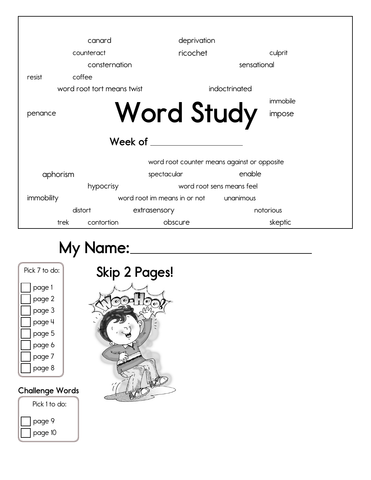|            | canard                     |                                             | deprivation               |           |  |  |  |  |
|------------|----------------------------|---------------------------------------------|---------------------------|-----------|--|--|--|--|
|            | counteract                 | ricochet                                    |                           | culprit   |  |  |  |  |
|            | consternation              |                                             | sensational               |           |  |  |  |  |
| resist     | coffee                     |                                             |                           |           |  |  |  |  |
|            | word root tort means twist |                                             | indoctrinated             |           |  |  |  |  |
|            |                            |                                             |                           | immobile  |  |  |  |  |
| penance    |                            | <b>Word Study</b>                           |                           | impose    |  |  |  |  |
|            |                            | Week of _____                               |                           |           |  |  |  |  |
|            |                            | word root counter means against or opposite |                           |           |  |  |  |  |
| aphorism   |                            | spectacular                                 | enable                    |           |  |  |  |  |
|            | hypocrisy                  |                                             | word root sens means feel |           |  |  |  |  |
| immobility |                            | word root im means in or not unanimous      |                           |           |  |  |  |  |
|            | distort                    | extrasensory                                |                           | notorious |  |  |  |  |
| trek       | contortion                 | obscure                                     |                           | skeptic   |  |  |  |  |

## **My Name:**

| Pick 7 to do: |
|---------------|
| page 1        |
| page 2        |
| page 3        |
| page 4        |
| page 5        |
| page 6        |
| page 7        |
| page 8        |
|               |

## **Challenge Words**



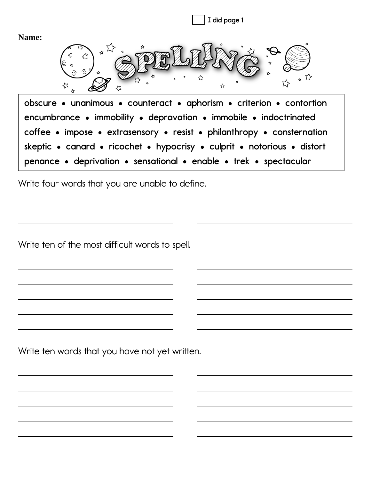**I did page 1Name:**  $\sum_{\mathbf{A}}^{\mathbf{A}}$ **Refshall e** counteract **•** aphorism **•** criterion **•** contortion  $h$  **encumbrance** • immobility • depravation • immobile • indoctrinated  $f{c}$  **coffee** • impose • extrasensory • resist • philanthropy • consternation **Skeptic • canard • ricochet • hypocrisy • culprit • notorious • distort Penance • deprivation • sensational • enable • trek • spectacular** 

Write four words that you are unable to define.

Write ten of the most difficult words to spell.

Write ten words that you have not yet written.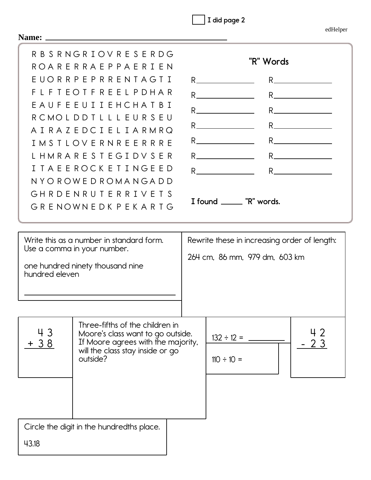| I did page 2 |  |
|--------------|--|
|              |  |

| Name:          |                                                                                                                                                                                                                                                                                                                                                          |                                                                                                                                                                                                                                                                                                                                                                                                                                                                                                                                                                                                                                                                                                                                                                                                                                                                                                                                                                                                                                                                                                                                                                                                 |
|----------------|----------------------------------------------------------------------------------------------------------------------------------------------------------------------------------------------------------------------------------------------------------------------------------------------------------------------------------------------------------|-------------------------------------------------------------------------------------------------------------------------------------------------------------------------------------------------------------------------------------------------------------------------------------------------------------------------------------------------------------------------------------------------------------------------------------------------------------------------------------------------------------------------------------------------------------------------------------------------------------------------------------------------------------------------------------------------------------------------------------------------------------------------------------------------------------------------------------------------------------------------------------------------------------------------------------------------------------------------------------------------------------------------------------------------------------------------------------------------------------------------------------------------------------------------------------------------|
| F.<br>T        | R B S R N G R I O V R E S E R D G<br>ROARERRAEPPAERIEN<br>EUORRPEPRRENTAGTI<br>L F T E O T F R E E L P D H A R<br><b>EAUFEEUIIEHCHATBI</b><br>RCMOLDDTLLLEURSEU<br>AIRAZEDCIELIARMRQ<br>I M S T L O V E R N R E E R R R E<br>L H M R A R E S T E G I D V S E R<br><b>TAEEROCKETINGEED</b><br>NYOROWEDROMANGADD<br>GHRDENRUTERRIVETS<br>GRENOWNEDKPEKARTG | "R" Words<br>$R \sim 1$<br>$R_{-}$<br>$R_{\perp}$ and $R_{\perp}$ and $R_{\perp}$<br>$R$ and $\sim$ $R$ and $\sim$ $R$ and $\sim$ $R$ and $\sim$ $R$ and $\sim$ $R$ and $\sim$ $R$ and $\sim$ $R$ and $\sim$ $R$ and $\sim$ $R$ and $\sim$ $R$ and $\sim$ $R$ and $\sim$ $R$ and $\sim$ $R$ and $\sim$ $R$ and $\sim$ $R$ and $\sim$ $R$ and $\sim$<br>R and $\overline{R}$ and $\overline{R}$ and $\overline{R}$ and $\overline{R}$ and $\overline{R}$ and $\overline{R}$ and $\overline{R}$ and $\overline{R}$ and $\overline{R}$ and $\overline{R}$ and $\overline{R}$ and $\overline{R}$ and $\overline{R}$ and $\overline{R}$ and $\overline{R}$ and $\overline{R}$ and $\overline{R}$<br>$R_{-}$<br>$R_{\perp}$ and $R_{\perp}$ and $R_{\perp}$ and $R_{\perp}$<br>$R \sim 1$<br>$R$ and $\overline{R}$ and $\overline{R}$ and $\overline{R}$ and $\overline{R}$ and $\overline{R}$ and $\overline{R}$ and $\overline{R}$ and $\overline{R}$ and $\overline{R}$ and $\overline{R}$ and $\overline{R}$ and $\overline{R}$ and $\overline{R}$ and $\overline{R}$ and $\overline{R}$ and $\overline{R}$ and $\overline{$<br>R $\qquad \qquad$<br>$R_{\text{}}$<br>I found _______ "R" words. |
| hundred eleven | Write this as a number in standard form.<br>Use a comma in your number.<br>one hundred ninety thousand nine                                                                                                                                                                                                                                              | Rewrite these in increasing order of length:<br>264 cm, 86 mm, 979 dm, 603 km                                                                                                                                                                                                                                                                                                                                                                                                                                                                                                                                                                                                                                                                                                                                                                                                                                                                                                                                                                                                                                                                                                                   |
| 43<br>$+38$    | Three-fifths of the children in<br>Moore's class want to go outside.<br>If Moore agrees with the majority,<br>will the class stay inside or go<br>outside?                                                                                                                                                                                               | 42<br>$132 \div 12 =$<br>2 3<br>$110 \div 10 =$                                                                                                                                                                                                                                                                                                                                                                                                                                                                                                                                                                                                                                                                                                                                                                                                                                                                                                                                                                                                                                                                                                                                                 |
| 43.18          | Circle the digit in the hundredths place.                                                                                                                                                                                                                                                                                                                |                                                                                                                                                                                                                                                                                                                                                                                                                                                                                                                                                                                                                                                                                                                                                                                                                                                                                                                                                                                                                                                                                                                                                                                                 |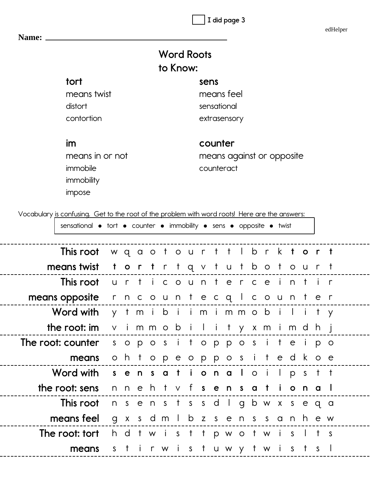**I did page 3**

edHelper

| <b>Word Roots</b> |  |
|-------------------|--|
| to Know:          |  |

| tort            | sens                  |
|-----------------|-----------------------|
| means twist     | means feel            |
| distort         | sensational           |
| contortion      | extrasensory          |
|                 |                       |
| im              | counter               |
| means in or not | means against or oppo |

immobile immobility impose

---

---

 $-$ 

---

---

 $-$ 

---

---

**Name:**

psite counteract

Vocabulary is confusing. Get to the root of the problem with word roots! Here are the answers:

| sensational • tort • counter • immobility • sens • opposite • twist |                      |  |  |  |  |  |                                     |  |  |  |
|---------------------------------------------------------------------|----------------------|--|--|--|--|--|-------------------------------------|--|--|--|
| This root wgaotourttlbrktort                                        |                      |  |  |  |  |  |                                     |  |  |  |
| means twist                                                         | tortrtqvtutbotourt   |  |  |  |  |  |                                     |  |  |  |
| This root                                                           |                      |  |  |  |  |  | urticounterceintir                  |  |  |  |
| means opposite                                                      | rncountecqlcounter   |  |  |  |  |  |                                     |  |  |  |
| Word with                                                           |                      |  |  |  |  |  | y tmibiim immobility                |  |  |  |
| the root: im                                                        |                      |  |  |  |  |  | vimmobility x mimdhj                |  |  |  |
| The root: counter                                                   | s opositopposite ipo |  |  |  |  |  |                                     |  |  |  |
| means                                                               |                      |  |  |  |  |  | ohtopeoppositedkoe                  |  |  |  |
| Word with sensational oil pstt                                      |                      |  |  |  |  |  |                                     |  |  |  |
| the root: sens                                                      |                      |  |  |  |  |  | nnehtvf <b>sensational</b>          |  |  |  |
| This root                                                           |                      |  |  |  |  |  | nsenstssdlgbwxseqa                  |  |  |  |
| means feel                                                          |                      |  |  |  |  |  | g x s d m l b z s e n s s a n h e w |  |  |  |
| <b>The root: tort</b> hdtwist tpwotwis Its                          |                      |  |  |  |  |  |                                     |  |  |  |
| means                                                               | S                    |  |  |  |  |  | tirwistuwytwists                    |  |  |  |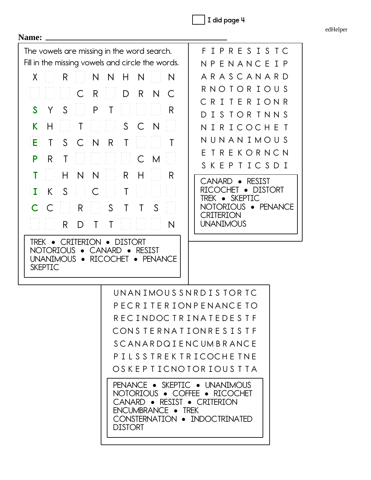$\big]$  I did page 4

edHelper

| Name:                                                                                                                                                                                                                                                                                                                                                                                                                                                                                                                                |                                                                                                                                                                                                                                                                                                         |
|--------------------------------------------------------------------------------------------------------------------------------------------------------------------------------------------------------------------------------------------------------------------------------------------------------------------------------------------------------------------------------------------------------------------------------------------------------------------------------------------------------------------------------------|---------------------------------------------------------------------------------------------------------------------------------------------------------------------------------------------------------------------------------------------------------------------------------------------------------|
| The vowels are missing in the word search.<br>Fill in the missing vowels and circle the words.                                                                                                                                                                                                                                                                                                                                                                                                                                       | F I P R E S I S T C<br>NPENANCEIP                                                                                                                                                                                                                                                                       |
| N<br>N<br>X.<br>R.<br>H<br>N<br>N<br>C<br>R<br>D<br>R.<br>$\subset$<br>N<br>$\mathsf{P}$<br>Τ<br>S<br>S<br>R<br>Y<br>S<br>$\overline{N}$<br>K.<br>C<br>H<br>Τ<br>S.<br>T<br>Eŀ<br>$\mathsf{C}$<br>$\mathsf{N}$<br>R.<br>Τ<br>$\top$<br>P<br>C<br>R.<br>Τ<br>M<br>N<br>H<br>N<br>R.<br>H<br>R<br>S<br>$\mathsf{K}$<br>$\mathsf{C}$<br>T<br>I)<br>S<br>Τ<br>$\mathsf{T}$<br>S<br>R.<br>C<br>Τ<br>R.<br>Τ<br>N<br>D<br>TREK • CRITERION • DISTORT<br>CANARD • RESIST<br>NOTORIOUS •<br>UNANIMOUS • RICOCHET • PENANCE<br><b>SKEPTIC</b> | A R A S C A N A R D<br>R N O T O R I O U S<br><b>TERIONR</b><br>C R I<br>I S TOR TNN S<br>NIRICOCHET<br>N U N A N I M O U S<br>TREKORNCN<br>PTICSDI<br>S K E<br>CANARD • RESIST<br><b>DISTORT</b><br>(HHT<br>$\bullet$<br>TREK • SKEPTIC<br>NOTORIOUS · PENANCE<br><b>CRITERION</b><br><b>UNANIMOUS</b> |
| UNANIMOUS SNRDISTORTC<br>PECRITERIONPENANCE TO<br>RECINDOCTRINATEDESTF<br>CONSTERNATIONRESISTE<br><b>SCANARDQIENCUMBRANCE</b><br>PILSSTREKTRICOCHETNE<br>OSKEPTICNOTORIOUSTTA<br><b>PENANCE • SKEPTIC • UNANIMOUS</b><br>NOTORIOUS • COFFEE • RICOCHET<br>CANARD • RESIST • CRITERION<br>ENCUMBRANCE • TREK<br>CONSTERNATION . INDOCTRINATED<br><b>DISTORT</b>                                                                                                                                                                       |                                                                                                                                                                                                                                                                                                         |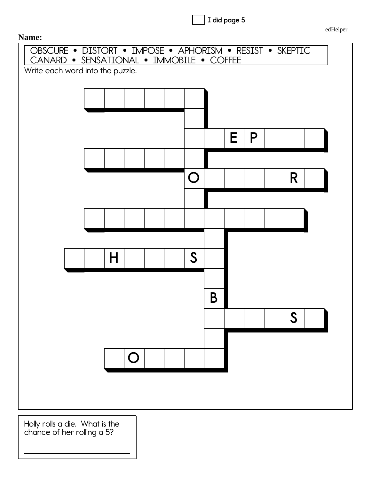**I did page 5**

edHelper



Holly rolls a die. What is the chance of her rolling a 5?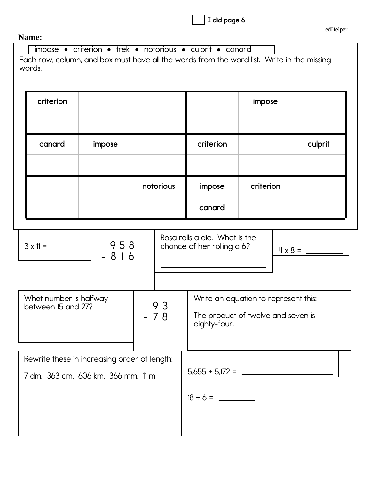| I did page 6 |
|--------------|
|--------------|

| edHelper |  |
|----------|--|
|          |  |

## **Name:**

| <b>Ranc.</b>           |                                              |           |                                                                                            |           |  |         |  |
|------------------------|----------------------------------------------|-----------|--------------------------------------------------------------------------------------------|-----------|--|---------|--|
|                        |                                              |           | impose • criterion • trek • notorious • culprit • canard                                   |           |  |         |  |
|                        |                                              |           | Each row, column, and box must have all the words from the word list. Write in the missing |           |  |         |  |
| words.                 |                                              |           |                                                                                            |           |  |         |  |
|                        |                                              |           |                                                                                            |           |  |         |  |
|                        |                                              |           |                                                                                            |           |  |         |  |
| criterion              |                                              |           |                                                                                            | impose    |  |         |  |
|                        |                                              |           |                                                                                            |           |  |         |  |
|                        |                                              |           |                                                                                            |           |  |         |  |
|                        |                                              |           |                                                                                            |           |  |         |  |
| canard                 | impose                                       |           | criterion                                                                                  |           |  | culprit |  |
|                        |                                              |           |                                                                                            |           |  |         |  |
|                        |                                              |           |                                                                                            |           |  |         |  |
|                        |                                              |           |                                                                                            |           |  |         |  |
|                        |                                              | notorious | impose                                                                                     | criterion |  |         |  |
|                        |                                              |           |                                                                                            |           |  |         |  |
|                        |                                              |           | canard                                                                                     |           |  |         |  |
|                        |                                              |           |                                                                                            |           |  |         |  |
|                        |                                              |           | Rosa rolls a die. What is the                                                              |           |  |         |  |
| $3 \times 11 =$        | 958                                          |           | chance of her rolling a 6?                                                                 |           |  |         |  |
|                        | $816$                                        |           |                                                                                            |           |  |         |  |
|                        |                                              |           |                                                                                            |           |  |         |  |
|                        |                                              |           |                                                                                            |           |  |         |  |
|                        |                                              |           |                                                                                            |           |  |         |  |
| What number is halfway |                                              |           | Write an equation to represent this:                                                       |           |  |         |  |
| between 15 and 27?     |                                              | 93        | The product of twelve and seven is                                                         |           |  |         |  |
|                        |                                              | - 78      | eighty-four.                                                                               |           |  |         |  |
|                        |                                              |           |                                                                                            |           |  |         |  |
|                        |                                              |           |                                                                                            |           |  |         |  |
|                        |                                              |           |                                                                                            |           |  |         |  |
|                        | Rewrite these in increasing order of length: |           |                                                                                            |           |  |         |  |
|                        | 7 dm, 363 cm, 606 km, 366 mm, 11 m           |           | $5,655 + 5,172 = -$                                                                        |           |  |         |  |
|                        |                                              |           |                                                                                            |           |  |         |  |
|                        |                                              |           |                                                                                            |           |  |         |  |
|                        |                                              |           |                                                                                            |           |  |         |  |
|                        |                                              |           |                                                                                            |           |  |         |  |
|                        |                                              |           |                                                                                            |           |  |         |  |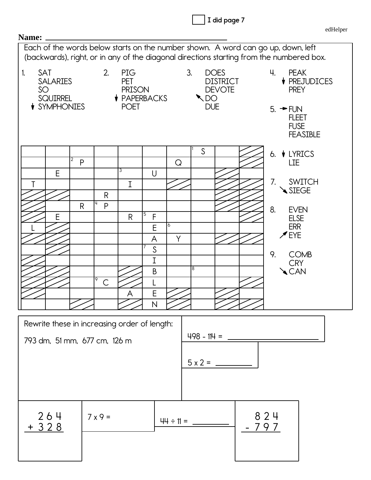| Name:           |                                    |                              |                   |                                                                  |                   |                |    |               |                                                 |            |                                                                                          | edHelper |
|-----------------|------------------------------------|------------------------------|-------------------|------------------------------------------------------------------|-------------------|----------------|----|---------------|-------------------------------------------------|------------|------------------------------------------------------------------------------------------|----------|
|                 |                                    |                              |                   |                                                                  |                   |                |    |               |                                                 |            | Each of the words below starts on the number shown. A word can go up, down, left         |          |
|                 |                                    |                              |                   |                                                                  |                   |                |    |               |                                                 |            | (backwards), right, or in any of the diagonal directions starting from the numbered box. |          |
| SAT<br>1.<br>SO | <b>SALARIES</b><br><b>SQUIRREL</b> |                              | 2.                | PIG<br><b>PET</b><br><b>PRISON</b><br>$\blacklozenge$ PAPERBACKS |                   |                | 3. | $\searrow$ DO | <b>DOES</b><br><b>DISTRICT</b><br><b>DEVOTE</b> | Ч.         | <b>PEAK</b><br>↓ PREJUDICES<br><b>PREY</b>                                               |          |
|                 | <i>I</i> SYMPHONIES                |                              |                   | <b>POET</b>                                                      |                   |                |    | <b>DUE</b>    |                                                 |            | $5. + FUN$<br><b>FLEET</b><br><b>FUSE</b><br><b>FEASIBLE</b>                             |          |
|                 |                                    |                              |                   |                                                                  |                   |                |    | S             |                                                 | 6.         | <b>↓ LYRICS</b>                                                                          |          |
|                 |                                    | 2<br>P                       |                   | 3                                                                |                   | Q              |    |               |                                                 |            | LIE                                                                                      |          |
|                 | E                                  |                              | $\mathsf R$       | $\mathbf I$                                                      | $\cup$            |                |    |               |                                                 | 7.         | <b>SWITCH</b><br>SIEGE                                                                   |          |
|                 |                                    | R                            | 4<br>P            |                                                                  | 5                 |                |    |               |                                                 | 8.         | <b>EVEN</b>                                                                              |          |
|                 | E                                  |                              |                   | $\mathsf{R}$                                                     | $\mathsf{F}$<br>E | 6              |    |               |                                                 |            | <b>ELSE</b><br><b>ERR</b>                                                                |          |
|                 |                                    |                              |                   |                                                                  | A                 | Y              |    |               |                                                 |            | $\mathscr{I}$ EYE                                                                        |          |
|                 |                                    |                              |                   |                                                                  | $\mathsf S$       |                |    |               |                                                 | 9.         | <b>COMB</b>                                                                              |          |
|                 |                                    |                              |                   |                                                                  | $\mathbf I$       |                | 8  |               |                                                 |            | <b>CRY</b>                                                                               |          |
|                 |                                    |                              | 9<br>$\mathsf{C}$ |                                                                  | $\mathsf B$       |                |    |               |                                                 |            | <b>CAN</b>                                                                               |          |
|                 |                                    |                              |                   | A                                                                | E                 |                |    |               |                                                 |            |                                                                                          |          |
|                 |                                    |                              |                   |                                                                  | $\mathsf{N}$      |                |    |               |                                                 |            |                                                                                          |          |
|                 |                                    |                              |                   |                                                                  |                   |                |    |               |                                                 |            |                                                                                          |          |
|                 |                                    | 793 dm, 51 mm, 677 cm, 126 m |                   | Rewrite these in increasing order of length:                     |                   |                |    |               |                                                 |            |                                                                                          |          |
|                 |                                    |                              |                   |                                                                  |                   |                |    |               |                                                 |            |                                                                                          |          |
|                 |                                    |                              |                   |                                                                  |                   |                |    |               |                                                 |            |                                                                                          |          |
|                 |                                    |                              |                   |                                                                  |                   |                |    |               |                                                 |            |                                                                                          |          |
|                 |                                    |                              |                   |                                                                  |                   |                |    |               |                                                 |            |                                                                                          |          |
|                 |                                    |                              |                   |                                                                  |                   |                |    |               |                                                 |            |                                                                                          |          |
|                 | 264<br>$+328$                      |                              | $7 \times 9 =$    |                                                                  |                   | $44 \div 11 =$ |    |               |                                                 | 824<br>797 |                                                                                          |          |
|                 |                                    |                              |                   |                                                                  |                   |                |    |               |                                                 |            |                                                                                          |          |
|                 |                                    |                              |                   |                                                                  |                   |                |    |               |                                                 |            |                                                                                          |          |

edHelper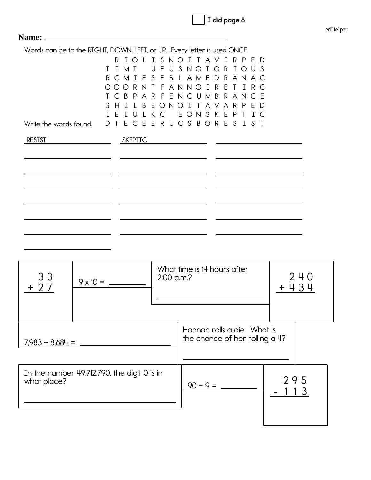|  |  |  | I did page 8 |  |
|--|--|--|--------------|--|
|--|--|--|--------------|--|

| Name:                                                                    |          |        |                                                                                                                |   |        |                    |   |   |        |                        |         |  |   |              |              |   |  |
|--------------------------------------------------------------------------|----------|--------|----------------------------------------------------------------------------------------------------------------|---|--------|--------------------|---|---|--------|------------------------|---------|--|---|--------------|--------------|---|--|
| Words can be to the RIGHT, DOWN, LEFT, or UP. Every letter is used ONCE. |          |        |                                                                                                                |   |        |                    |   |   |        |                        |         |  |   |              |              |   |  |
|                                                                          | ∩        |        | R T O I I S N O T T A V T R P F D<br>I M T<br>R C M I E S E B L A M E D R A N A C<br>OORNTFANNOIRE             |   | $\cup$ | E.                 | U |   |        | SNOTOR                 |         |  |   |              | IOUS<br>TIRC | E |  |
| Write the words found.                                                   | S.<br>D. | H<br>F | C B P A R F E N C U M B R A N C<br>$\top$<br>$\mathsf{L}$<br>$\mathbf{U}$<br>T E C E E R U C S B O R E S I S T | B | K      | F O N<br>$\subset$ |   | ∩ | $\top$ | $\mathsf{T}$<br>EONSKE | A V A R |  | P | P.<br>$\top$ | E<br>$\top$  | Ð |  |
| <b>RESIST</b>                                                            |          |        | SKEPTIC                                                                                                        |   |        |                    |   |   |        |                        |         |  |   |              |              |   |  |
|                                                                          |          |        |                                                                                                                |   |        |                    |   |   |        |                        |         |  |   |              |              |   |  |
|                                                                          |          |        |                                                                                                                |   |        |                    |   |   |        |                        |         |  |   |              |              |   |  |
|                                                                          |          |        |                                                                                                                |   |        |                    |   |   |        |                        |         |  |   |              |              |   |  |
|                                                                          |          |        |                                                                                                                |   |        |                    |   |   |        |                        |         |  |   |              |              |   |  |

| 3 <sub>3</sub><br>$+27$ | $9 \times 10 =$                             | $2:00$ a.m.? | What time is 14 hours after                                   | 240<br>$+434$ |
|-------------------------|---------------------------------------------|--------------|---------------------------------------------------------------|---------------|
| $7,983 + 8,684 =$       |                                             |              | Hannah rolls a die. What is<br>the chance of her rolling a 4? |               |
| what place?             | In the number 49,712,790, the digit 0 is in |              | $90 \div 9 =$                                                 | 295<br>13     |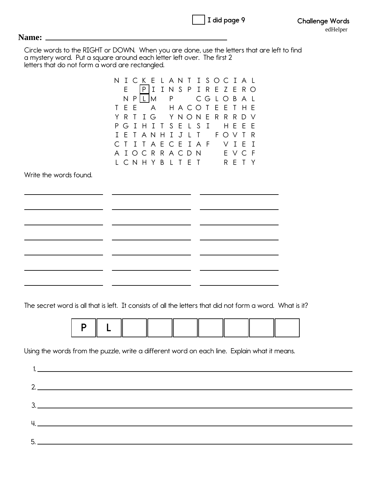| I did page 9 |  |  |
|--------------|--|--|
|              |  |  |

## **Name:**

Circle words to the RIGHT or DOWN. When you are done, use the letters that are left to find a mystery word. Put a square around each letter left over. The first 2 letters that do not form a word are rectangled.

| E<br>N<br>E<br>T.<br>R<br>Y<br>G<br>P<br>F<br>T<br>A T<br>L C N H Y B L T E T | E<br>Τ<br>$\mathbf{I}$<br>T | P I<br>P L M<br>T<br>A N<br>T. | A<br>G<br>T<br>A E | $\mathbf I$<br>T.<br>H | N<br>P<br>S.<br>$\mathbf{I}$ | S<br>E<br>J | $\mathsf{P}$<br>H A C O<br>YNON<br>$\mathbf{L}$<br>$\mathbf{L}$<br>OCRRACDN | I<br>R<br>CGLOBAL<br>$\mathsf{T}$<br>E<br>S<br>$\mathbf{I}$<br>$\mathsf{T}$<br>CEIAF | E<br>E<br>R<br>R E | ZERO<br>-E<br>R<br>H<br>F O V<br>V | T<br>R<br>E<br>$\mathbf I$<br>E V C | H E<br>D.<br>E<br>F<br>T Y | ∨<br>F<br>R<br>Ι<br>-F |                                                                                                           |
|-------------------------------------------------------------------------------|-----------------------------|--------------------------------|--------------------|------------------------|------------------------------|-------------|-----------------------------------------------------------------------------|--------------------------------------------------------------------------------------|--------------------|------------------------------------|-------------------------------------|----------------------------|------------------------|-----------------------------------------------------------------------------------------------------------|
|                                                                               |                             |                                |                    |                        |                              |             |                                                                             |                                                                                      |                    |                                    |                                     |                            |                        |                                                                                                           |
|                                                                               |                             |                                |                    |                        |                              |             |                                                                             |                                                                                      |                    |                                    |                                     |                            |                        |                                                                                                           |
|                                                                               |                             |                                |                    |                        |                              |             |                                                                             |                                                                                      |                    |                                    |                                     |                            |                        |                                                                                                           |
|                                                                               |                             |                                |                    |                        |                              |             |                                                                             |                                                                                      |                    |                                    |                                     |                            |                        |                                                                                                           |
|                                                                               |                             |                                |                    |                        |                              |             |                                                                             |                                                                                      |                    |                                    |                                     |                            |                        |                                                                                                           |
|                                                                               |                             |                                |                    |                        |                              |             |                                                                             |                                                                                      |                    |                                    |                                     |                            |                        |                                                                                                           |
|                                                                               |                             |                                |                    |                        |                              |             |                                                                             |                                                                                      |                    |                                    |                                     |                            |                        |                                                                                                           |
|                                                                               |                             |                                |                    |                        |                              |             |                                                                             |                                                                                      |                    |                                    |                                     |                            |                        |                                                                                                           |
|                                                                               |                             |                                |                    |                        |                              |             |                                                                             |                                                                                      |                    |                                    |                                     |                            |                        |                                                                                                           |
|                                                                               |                             |                                |                    |                        |                              |             |                                                                             |                                                                                      |                    |                                    |                                     |                            |                        |                                                                                                           |
|                                                                               |                             |                                |                    |                        |                              |             |                                                                             |                                                                                      |                    |                                    |                                     |                            |                        |                                                                                                           |
|                                                                               |                             |                                |                    |                        |                              |             |                                                                             |                                                                                      |                    |                                    |                                     |                            |                        |                                                                                                           |
|                                                                               |                             |                                |                    |                        |                              |             |                                                                             |                                                                                      |                    |                                    |                                     |                            |                        |                                                                                                           |
|                                                                               |                             |                                |                    |                        |                              |             |                                                                             |                                                                                      |                    |                                    |                                     |                            |                        |                                                                                                           |
|                                                                               |                             |                                |                    |                        |                              |             |                                                                             |                                                                                      |                    |                                    |                                     |                            |                        |                                                                                                           |
|                                                                               |                             |                                |                    |                        |                              |             |                                                                             |                                                                                      |                    |                                    |                                     |                            |                        |                                                                                                           |
|                                                                               |                             |                                |                    |                        |                              |             |                                                                             |                                                                                      |                    |                                    |                                     |                            |                        |                                                                                                           |
|                                                                               |                             |                                |                    |                        |                              |             |                                                                             |                                                                                      |                    |                                    |                                     |                            |                        |                                                                                                           |
|                                                                               |                             |                                |                    |                        |                              |             |                                                                             |                                                                                      |                    |                                    |                                     |                            |                        |                                                                                                           |
|                                                                               |                             |                                |                    |                        |                              |             |                                                                             |                                                                                      |                    |                                    |                                     |                            |                        |                                                                                                           |
|                                                                               |                             |                                |                    |                        |                              |             |                                                                             |                                                                                      |                    |                                    |                                     |                            |                        |                                                                                                           |
|                                                                               |                             |                                |                    |                        |                              |             |                                                                             |                                                                                      |                    |                                    |                                     |                            |                        |                                                                                                           |
|                                                                               |                             |                                |                    |                        |                              |             |                                                                             |                                                                                      |                    |                                    |                                     |                            |                        |                                                                                                           |
|                                                                               |                             |                                |                    |                        |                              |             |                                                                             |                                                                                      |                    |                                    |                                     |                            |                        | The secret word is all that is left. It consists of all the letters that did not form a word. What is it? |

Using the words from the puzzle, write a different word on each line. Explain what it means.

| 1. <u>In the contract of the contract of the contract of the contract of the contract of the contract of</u> |
|--------------------------------------------------------------------------------------------------------------|
|                                                                                                              |
| 2.                                                                                                           |
|                                                                                                              |
| 3.                                                                                                           |
| H. <u>Contract of the Communication of the Communication</u>                                                 |
|                                                                                                              |
|                                                                                                              |
|                                                                                                              |